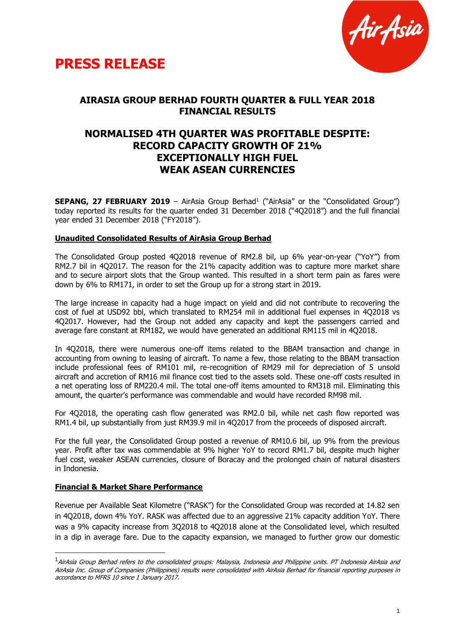



# **AIRASIA GROUP BERHAD FOURTH QUARTER & FULL YEAR 2018 FINANCIAL RESULTS**

# **NORMALISED 4TH QUARTER WAS PROFITABLE DESPITE: RECORD CAPACITY GROWTH OF 21% EXCEPTIONALLY HIGH FUEL WEAK ASEAN CURRENCIES**

**SEPANG, 27 FEBRUARY 2019** - AirAsia Group Berhad<sup>1</sup> ("AirAsia" or the "Consolidated Group") today reported its results for the quarter ended 31 December 2018 ("4Q2018") and the full financial year ended 31 December 2018 ("FY2018").

## **Unaudited Consolidated Results of AirAsia Group Berhad**

The Consolidated Group posted 4Q2018 revenue of RM2.8 bil, up 6% year-on-year ("YoY") from RM2.7 bil in 4Q2017. The reason for the 21% capacity addition was to capture more market share and to secure airport slots that the Group wanted. This resulted in a short term pain as fares were down by 6% to RM171, in order to set the Group up for a strong start in 2019.

The large increase in capacity had a huge impact on yield and did not contribute to recovering the cost of fuel at USD92 bbl, which translated to RM254 mil in additional fuel expenses in 4Q2018 vs 4Q2017. However, had the Group not added any capacity and kept the passengers carried and average fare constant at RM182, we would have generated an additional RM115 mil in 4Q2018.

In 4Q2018, there were numerous one-off items related to the BBAM transaction and change in accounting from owning to leasing of aircraft. To name a few, those relating to the BBAM transaction include professional fees of RM101 mil, re-recognition of RM29 mil for depreciation of 5 unsold aircraft and accretion of RM16 mil finance cost tied to the assets sold. These one-off costs resulted in a net operating loss of RM220.4 mil. The total one-off items amounted to RM318 mil. Eliminating this amount, the quarter's performance was commendable and would have recorded RM98 mil.

For 4Q2018, the operating cash flow generated was RM2.0 bil, while net cash flow reported was RM1.4 bil, up substantially from just RM39.9 mil in 4Q2017 from the proceeds of disposed aircraft.

For the full year, the Consolidated Group posted a revenue of RM10.6 bil, up 9% from the previous year. Profit after tax was commendable at 9% higher YoY to record RM1.7 bil, despite much higher fuel cost, weaker ASEAN currencies, closure of Boracay and the prolonged chain of natural disasters in Indonesia.

#### **Financial & Market Share Performance**

-

Revenue per Available Seat Kilometre ("RASK") for the Consolidated Group was recorded at 14.82 sen in 4Q2018, down 4% YoY. RASK was affected due to an aggressive 21% capacity addition YoY. There was a 9% capacity increase from 3Q2018 to 4Q2018 alone at the Consolidated level, which resulted in a dip in average fare. Due to the capacity expansion, we managed to further grow our domestic

<sup>&</sup>lt;sup>1</sup> AirAsia Group Berhad refers to the consolidated groups: Malaysia, Indonesia and Philippine units. PT Indonesia AirAsia and AirAsia Inc. Group of Companies (Philippines) results were consolidated with AirAsia Berhad for financial reporting purposes in accordance to MFRS 10 since 1 January 2017.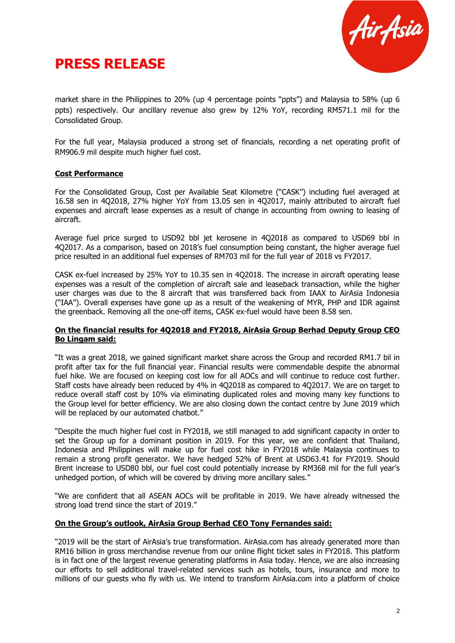



market share in the Philippines to 20% (up 4 percentage points "ppts") and Malaysia to 58% (up 6 ppts) respectively. Our ancillary revenue also grew by 12% YoY, recording RM571.1 mil for the Consolidated Group.

For the full year, Malaysia produced a strong set of financials, recording a net operating profit of RM906.9 mil despite much higher fuel cost.

#### **Cost Performance**

For the Consolidated Group, Cost per Available Seat Kilometre ("CASK") including fuel averaged at 16.58 sen in 4Q2018, 27% higher YoY from 13.05 sen in 4Q2017, mainly attributed to aircraft fuel expenses and aircraft lease expenses as a result of change in accounting from owning to leasing of aircraft.

Average fuel price surged to USD92 bbl jet kerosene in 4Q2018 as compared to USD69 bbl in 4Q2017. As a comparison, based on 2018's fuel consumption being constant, the higher average fuel price resulted in an additional fuel expenses of RM703 mil for the full year of 2018 vs FY2017.

CASK ex-fuel increased by 25% YoY to 10.35 sen in 4Q2018. The increase in aircraft operating lease expenses was a result of the completion of aircraft sale and leaseback transaction, while the higher user charges was due to the 8 aircraft that was transferred back from IAAX to AirAsia Indonesia ("IAA"). Overall expenses have gone up as a result of the weakening of MYR, PHP and IDR against the greenback. Removing all the one-off items, CASK ex-fuel would have been 8.58 sen.

#### **On the financial results for 4Q2018 and FY2018, AirAsia Group Berhad Deputy Group CEO Bo Lingam said:**

"It was a great 2018, we gained significant market share across the Group and recorded RM1.7 bil in profit after tax for the full financial year. Financial results were commendable despite the abnormal fuel hike. We are focused on keeping cost low for all AOCs and will continue to reduce cost further. Staff costs have already been reduced by 4% in 4Q2018 as compared to 4Q2017. We are on target to reduce overall staff cost by 10% via eliminating duplicated roles and moving many key functions to the Group level for better efficiency. We are also closing down the contact centre by June 2019 which will be replaced by our automated chatbot."

"Despite the much higher fuel cost in FY2018, we still managed to add significant capacity in order to set the Group up for a dominant position in 2019. For this year, we are confident that Thailand, Indonesia and Philippines will make up for fuel cost hike in FY2018 while Malaysia continues to remain a strong profit generator. We have hedged 52% of Brent at USD63.41 for FY2019. Should Brent increase to USD80 bbl, our fuel cost could potentially increase by RM368 mil for the full year's unhedged portion, of which will be covered by driving more ancillary sales."

"We are confident that all ASEAN AOCs will be profitable in 2019. We have already witnessed the strong load trend since the start of 2019."

## **On the Group's outlook, AirAsia Group Berhad CEO Tony Fernandes said:**

"2019 will be the start of AirAsia's true transformation. AirAsia.com has already generated more than RM16 billion in gross merchandise revenue from our online flight ticket sales in FY2018. This platform is in fact one of the largest revenue generating platforms in Asia today. Hence, we are also increasing our efforts to sell additional travel-related services such as hotels, tours, insurance and more to millions of our guests who fly with us. We intend to transform AirAsia.com into a platform of choice